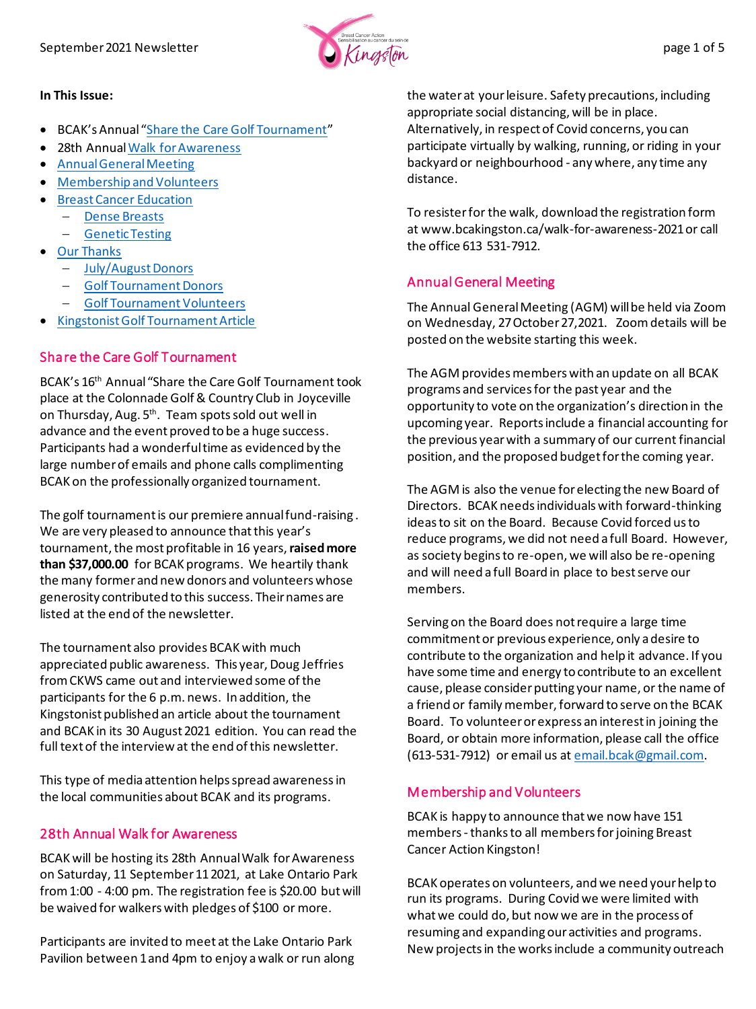

#### **In This Issue:**

- BCAK's Annual "[Share the Care Golf Tournament](#page-0-0)"
- 28th Annua[l Walk for Awareness](#page-0-1)
- [Annual General Meeting](#page-0-2)
- [Membership and Volunteers](#page-0-3)
- [Breast Cancer Education](#page-1-0)
	- − [Dense Breasts](#page-1-1)
	- − [Genetic Testing](#page-1-2)
- [Our Thanks](#page-2-0)
	- − [July/August Donors](#page-2-1)
	- − [Golf Tournament Donors](#page-2-2)
	- − [Golf Tournament Volunteers](#page-3-0)
- [Kingstonist Golf Tournament Article](#page-4-0)

### <span id="page-0-0"></span>Share the Care Golf Tournament

BCAK's 16th Annual "Share the Care Golf Tournament took place at the Colonnade Golf & Country Club in Joyceville on Thursday, Aug. 5<sup>th</sup>. Team spots sold out well in advance and the event proved to be a huge success. Participants had a wonderful time as evidenced by the large number of emails and phone calls complimenting BCAK on the professionally organized tournament.

The golf tournament is our premiere annual fund-raising . We are very pleased to announce that this year's tournament, the most profitable in 16 years, raised more **than \$37,000.00** for BCAK programs. We heartily thank the many former and new donors and volunteers whose generosity contributed to this success. Their names are listed at the end of the newsletter.

The tournament also provides BCAK with much appreciated public awareness. This year, Doug Jeffries from CKWS came out and interviewed some of the participants for the 6 p.m. news. In addition, the Kingstonist published an article about the tournament and BCAK in its 30 August 2021 edition. You can read the full text of the interview at the end of this newsletter.

This type of media attention helps spread awareness in the local communities about BCAK and its programs.

### <span id="page-0-1"></span>28th Annual Walk for Awareness

BCAK will be hosting its 28th Annual Walk for Awareness on Saturday, 11 September 11 2021, at Lake Ontario Park from 1:00 - 4:00 pm. The registration fee is \$20.00 but will be waived for walkers with pledges of \$100 or more.

Participants are invited to meet at the Lake Ontario Park Pavilion between 1 and 4pm to enjoy awalk or run along the water at your leisure. Safety precautions, including appropriate social distancing, will be in place. Alternatively, in respect of Covid concerns, you can participate virtually by walking, running, or riding in your backyard or neighbourhood - any where, any time any distance.

To resisterfor the walk, download the registration form at www.bcakingston.ca/walk-for-awareness-2021 or call the office 613 531-7912.

## <span id="page-0-2"></span>Annual General Meeting

The Annual General Meeting (AGM) will be held via Zoom on Wednesday, 27 October 27,2021. Zoom details will be posted on the website starting this week.

The AGM provides members with an update on all BCAK programs and services for the past year and the opportunity to vote on the organization's direction in the upcoming year. Reports include a financial accounting for the previous year with a summary of our current financial position, and the proposed budget for the coming year.

The AGM is also the venue for electing the new Board of Directors. BCAK needs individuals with forward-thinking ideas to sit on the Board. Because Covid forced us to reduce programs, we did not need a full Board. However, as society begins to re-open, we will also be re-opening and will need a full Board in place to best serve our members.

Serving on the Board does not require a large time commitment or previous experience, only a desire to contribute to the organization and help it advance. If you have some time and energy to contribute to an excellent cause, please consider putting your name, or the name of a friend or family member, forward to serve on the BCAK Board. To volunteer or express an interest in joining the Board, or obtain more information, please call the office (613-531-7912) or email us a[t email.bcak@gmail.com.](mailto:email.bcak@gmail.com)

## <span id="page-0-3"></span>Membership and Volunteers

BCAK is happy to announce that we now have 151 members-thanks to all members for joining Breast Cancer Action Kingston!

BCAK operates on volunteers, and we need your help to run its programs. During Covid we were limited with what we could do, but now we are in the process of resuming and expanding our activities and programs. New projects in the works include a community outreach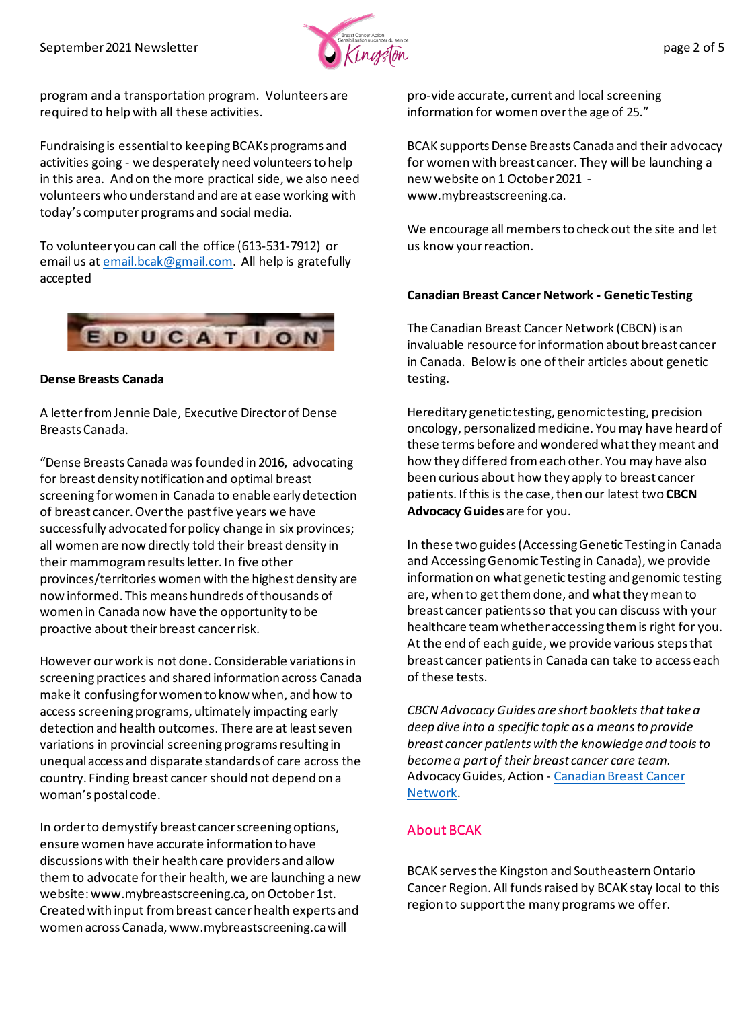

program and a transportation program. Volunteers are required to help with all these activities.

Fundraising is essential to keeping BCAKs programs and activities going - we desperately need volunteers to help in this area. And on the more practical side, we also need volunteers who understand and are at ease working with today's computer programs and social media.

To volunteer you can call the office (613-531-7912) or email us a[t email.bcak@gmail.com.](mailto:email.bcak@gmail.com) All help is gratefully accepted

<span id="page-1-0"></span>

#### <span id="page-1-1"></span>**Dense Breasts Canada**

A letter from Jennie Dale, Executive Director of Dense Breasts Canada.

"Dense Breasts Canada was founded in 2016, advocating for breast density notification and optimal breast screening for women in Canada to enable early detection of breast cancer. Over the past five years we have successfully advocated for policy change in six provinces; all women are now directly told their breast density in their mammogram results letter. In five other provinces/territories women with the highest density are now informed. This means hundreds of thousands of women in Canada now have the opportunity to be proactive about their breast cancer risk.

However our work is not done. Considerable variations in screening practices and shared information across Canada make it confusing for women to know when, and how to access screening programs, ultimately impacting early detection and health outcomes. There are at least seven variations in provincial screening programs resulting in unequal access and disparate standards of care across the country. Finding breast cancer should not depend on a woman's postal code.

In order to demystify breast cancer screening options, ensure women have accurate information to have discussions with their health care providers and allow them to advocate for their health, we are launching a new website: www.mybreastscreening.ca, on October 1st. Created with input from breast cancer health experts and women across Canada, www.mybreastscreening.ca will

pro-vide accurate, current and local screening information for women over the age of 25."

BCAK supports Dense Breasts Canada and their advocacy for women with breast cancer. They will be launching a new website on 1 October2021 www.mybreastscreening.ca.

We encourage all members to check out the site and let us know your reaction.

#### <span id="page-1-2"></span>**Canadian Breast Cancer Network - Genetic Testing**

The Canadian Breast Cancer Network (CBCN) is an invaluable resource for information about breast cancer in Canada. Below is one of their articles about genetic testing.

Hereditary genetic testing, genomic testing, precision oncology, personalized medicine. You may have heard of these terms before and wondered what they meant and how they differed from each other. You may have also been curious about how they apply to breast cancer patients. If this is the case, then our latest two **CBCN Advocacy Guides** are for you.

In these two guides (Accessing Genetic Testing in Canada and Accessing Genomic Testing in Canada), we provide information on what genetic testing and genomic testing are, when to get them done, and what they mean to breast cancer patients so that you can discuss with your healthcare team whether accessing them is right for you. At the end of each guide, we provide various steps that breast cancer patients in Canada can take to access each of these tests.

*CBCN Advocacy Guides are short booklets that take a deep dive into a specific topic as a means to provide breast cancer patients with the knowledge and tools to become a part of their breast cancer care team.*  Advocacy Guides, Action - [Canadian Breast Cancer](https://cbcn.ca/en/)  [Network](https://cbcn.ca/en/).

## About BCAK

BCAK serves the Kingston and Southeastern Ontario Cancer Region. All funds raised by BCAK stay local to this region to support the many programs we offer.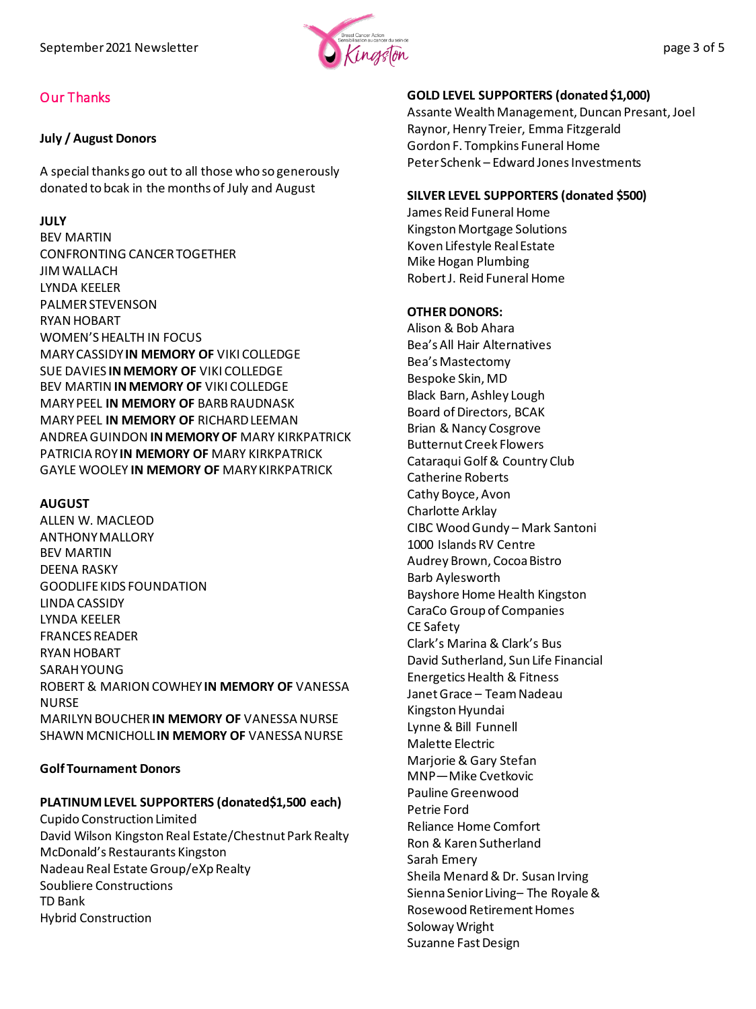

# <span id="page-2-0"></span>Our Thanks

### <span id="page-2-1"></span>**July / August Donors**

A special thanks go out to all those who so generously donated to bcak in the months of July and August

### **JULY**

BEV MARTIN CONFRONTING CANCER TOGETHER JIM WALLACH LYNDA KEELER PALMER STEVENSON RYAN HOBART WOMEN'S HEALTH IN FOCUS MARY CASSIDY **IN MEMORY OF** VIKI COLLEDGE SUE DAVIES **IN MEMORY OF** VIKI COLLEDGE BEV MARTIN **IN MEMORY OF** VIKI COLLEDGE MARY PEEL **IN MEMORY OF** BARB RAUDNASK MARY PEEL **IN MEMORY OF** RICHARD LEEMAN ANDREA GUINDON **IN MEMORY OF** MARY KIRKPATRICK PATRICIA ROY **IN MEMORY OF** MARY KIRKPATRICK GAYLE WOOLEY **IN MEMORY OF** MARY KIRKPATRICK

### **AUGUST**

ALLEN W. MACLEOD ANTHONY MALLORY BEV MARTIN DEENA RASKY GOODLIFE KIDS FOUNDATION LINDA CASSIDY LYNDA KEELER FRANCES READER RYAN HOBART SARAH YOUNG ROBERT & MARION COWHEY **IN MEMORY OF** VANESSA NURSE MARILYN BOUCHER **IN MEMORY OF** VANESSA NURSE SHAWN MCNICHOLL **IN MEMORY OF** VANESSA NURSE

### <span id="page-2-2"></span>**Golf Tournament Donors**

# **PLATINUM LEVEL SUPPORTERS (donated\$1,500 each)**

Cupido Construction Limited David Wilson Kingston Real Estate/Chestnut Park Realty McDonald's Restaurants Kingston Nadeau Real Estate Group/eXp Realty Soubliere Constructions TD Bank Hybrid Construction

# **GOLD LEVEL SUPPORTERS (donated \$1,000)**

Assante Wealth Management, Duncan Presant, Joel Raynor, Henry Treier, Emma Fitzgerald Gordon F. Tompkins Funeral Home Peter Schenk – Edward Jones Investments

# **SILVER LEVEL SUPPORTERS (donated \$500)**

James Reid Funeral Home Kingston Mortgage Solutions Koven Lifestyle Real Estate Mike Hogan Plumbing Robert J. Reid Funeral Home

### **OTHER DONORS:**

Alison & Bob Ahara Bea's All Hair Alternatives Bea's Mastectomy Bespoke Skin, MD Black Barn, Ashley Lough Board of Directors, BCAK Brian & Nancy Cosgrove Butternut Creek Flowers Cataraqui Golf & Country Club Catherine Roberts Cathy Boyce, Avon Charlotte Arklay CIBC Wood Gundy – Mark Santoni 1000 Islands RV Centre Audrey Brown, Cocoa Bistro Barb Aylesworth Bayshore Home Health Kingston CaraCo Group of Companies CE Safety Clark's Marina & Clark's Bus David Sutherland, Sun Life Financial Energetics Health & Fitness Janet Grace – Team Nadeau Kingston Hyundai Lynne & Bill Funnell Malette Electric Marjorie & Gary Stefan MNP—Mike Cvetkovic Pauline Greenwood Petrie Ford Reliance Home Comfort Ron & Karen Sutherland Sarah Emery Sheila Menard & Dr. Susan Irving Sienna Senior Living– The Royale & Rosewood Retirement Homes Soloway Wright Suzanne Fast Design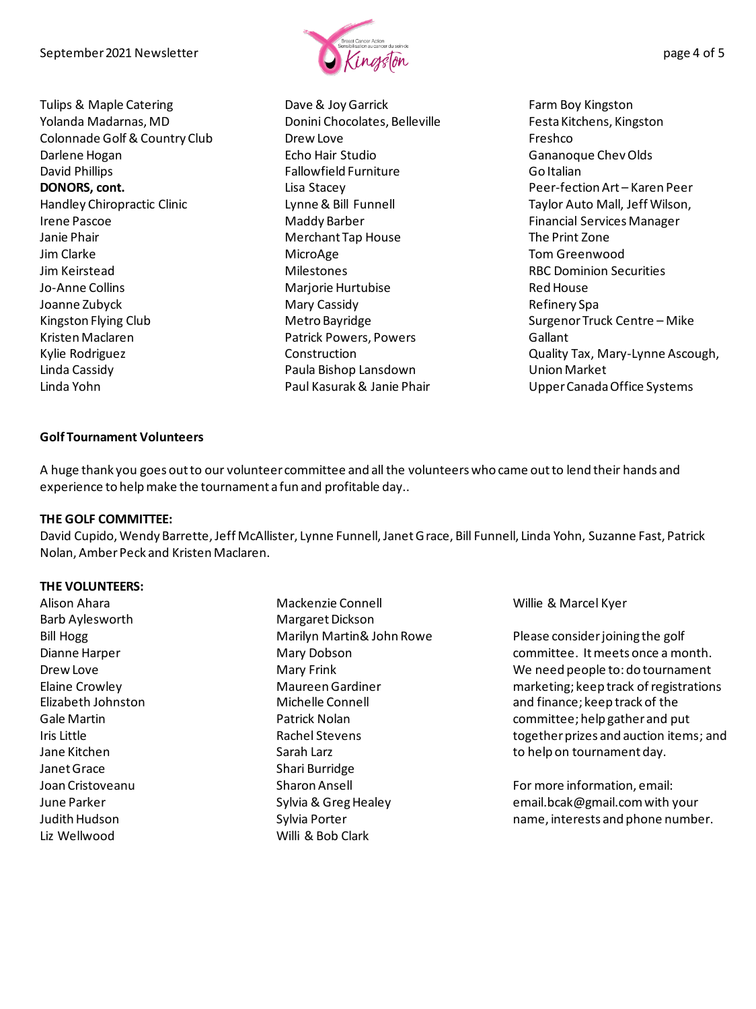September 2021 Newsletter  $\mathcal{L}_{\text{max}}$  and  $\mathcal{L}_{\text{max}}$  and  $\mathcal{L}_{\text{max}}$  and  $\mathcal{L}_{\text{max}}$  and  $\mathcal{L}_{\text{max}}$  and  $\mathcal{L}_{\text{max}}$  and  $\mathcal{L}_{\text{max}}$  and  $\mathcal{L}_{\text{max}}$  and  $\mathcal{L}_{\text{max}}$  and  $\mathcal{L}_{\text{max}}$  and  $\mathcal{L}_{\text{max}}$  a

Tulips & Maple Catering Yolanda Madarnas, MD Colonnade Golf & Country Club Darlene Hogan David Phillips **DONORS, cont.**  Handley Chiropractic Clinic Irene Pascoe Janie Phair Jim Clarke Jim Keirstead Jo-Anne Collins Joanne Zubyck Kingston Flying Club Kristen Maclaren Kylie Rodriguez Linda Cassidy Linda Yohn



Dave & Joy Garrick Donini Chocolates, Belleville Drew Love Echo Hair Studio Fallowfield Furniture Lisa Stacey Lynne & Bill Funnell Maddy Barber Merchant Tap House MicroAge Milestones Marjorie Hurtubise Mary Cassidy Metro Bayridge Patrick Powers, Powers **Construction** Paula Bishop Lansdown Paul Kasurak & Janie Phair

Farm Boy Kingston Festa Kitchens, Kingston Freshco Gananoque Chev Olds Go Italian Peer-fection Art – Karen Peer Taylor Auto Mall, Jeff Wilson, Financial Services Manager The Print Zone Tom Greenwood RBC Dominion Securities Red House Refinery Spa Surgenor Truck Centre – Mike **Gallant** Quality Tax, Mary-Lynne Ascough, Union Market Upper Canada Office Systems

#### <span id="page-3-0"></span>**Golf Tournament Volunteers**

A huge thank you goes out to our volunteer committee and all the volunteers who came out to lend their hands and experience to help make the tournament a fun and profitable day..

#### **THE GOLF COMMITTEE:**

David Cupido, Wendy Barrette, Jeff McAllister, Lynne Funnell, Janet Grace, Bill Funnell, Linda Yohn, Suzanne Fast, Patrick Nolan, Amber Peck and Kristen Maclaren.

#### **THE VOLUNTEERS:**

Alison Ahara Barb Aylesworth Bill Hogg Dianne Harper Drew Love Elaine Crowley Elizabeth Johnston Gale Martin Iris Little Jane Kitchen Janet Grace Joan Cristoveanu June Parker Judith Hudson Liz Wellwood

Mackenzie Connell Margaret Dickson Marilyn Martin& John Rowe Mary Dobson Mary Frink Maureen Gardiner Michelle Connell Patrick Nolan Rachel Stevens Sarah Larz Shari Burridge Sharon Ansell Sylvia & Greg Healey Sylvia Porter Willi & Bob Clark

Willie & Marcel Kyer

Please consider joining the golf committee. Itmeets once a month. We need people to: do tournament marketing; keep track of registrations and finance; keep track of the committee; help gather and put together prizes and auction items; and to help on tournament day.

For more information, email: email.bcak@gmail.com with your name, interests and phone number.